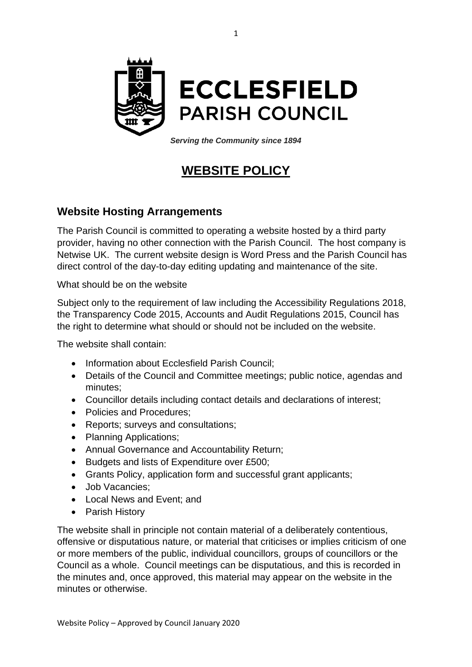

*Serving the Community since 1894*

## **WEBSITE POLICY**

## **Website Hosting Arrangements**

The Parish Council is committed to operating a website hosted by a third party provider, having no other connection with the Parish Council. The host company is Netwise UK. The current website design is Word Press and the Parish Council has direct control of the day-to-day editing updating and maintenance of the site.

What should be on the website

Subject only to the requirement of law including the Accessibility Regulations 2018, the Transparency Code 2015, Accounts and Audit Regulations 2015, Council has the right to determine what should or should not be included on the website.

The website shall contain:

- Information about Ecclesfield Parish Council;
- Details of the Council and Committee meetings; public notice, agendas and minutes;
- Councillor details including contact details and declarations of interest;
- Policies and Procedures;
- Reports; surveys and consultations;
- Planning Applications;
- Annual Governance and Accountability Return;
- Budgets and lists of Expenditure over £500;
- Grants Policy, application form and successful grant applicants;
- Job Vacancies;
- Local News and Event; and
- Parish History

The website shall in principle not contain material of a deliberately contentious, offensive or disputatious nature, or material that criticises or implies criticism of one or more members of the public, individual councillors, groups of councillors or the Council as a whole. Council meetings can be disputatious, and this is recorded in the minutes and, once approved, this material may appear on the website in the minutes or otherwise.